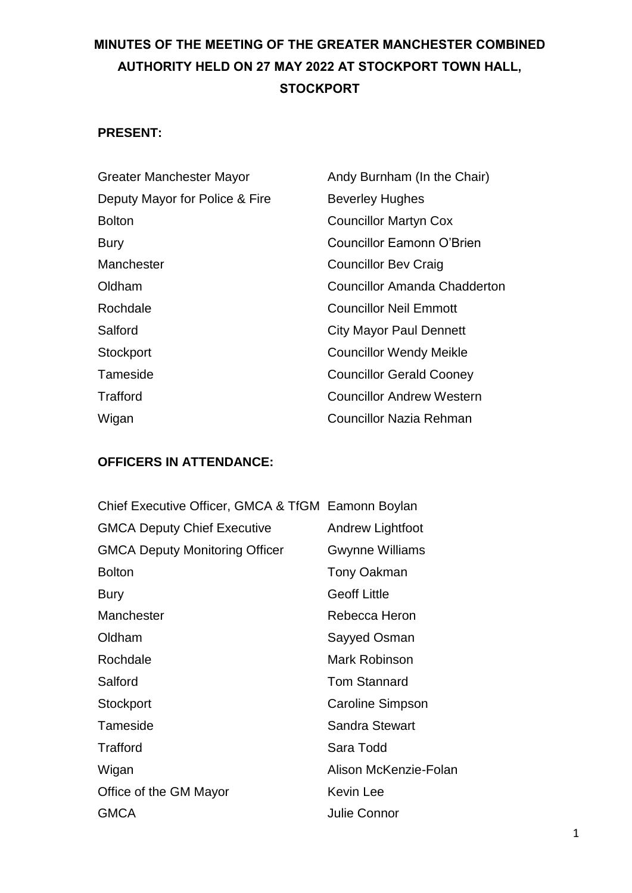# **MINUTES OF THE MEETING OF THE GREATER MANCHESTER COMBINED AUTHORITY HELD ON 27 MAY 2022 AT STOCKPORT TOWN HALL, STOCKPORT**

## **PRESENT:**

| Greater Manchester Mayor       | Andy Burnham (In the Chair)      |
|--------------------------------|----------------------------------|
| Deputy Mayor for Police & Fire | <b>Beverley Hughes</b>           |
| <b>Bolton</b>                  | <b>Councillor Martyn Cox</b>     |
| <b>Bury</b>                    | <b>Councillor Eamonn O'Brien</b> |
| Manchester                     | <b>Councillor Bev Craig</b>      |
| Oldham                         | Councillor Amanda Chadderton     |
| Rochdale                       | <b>Councillor Neil Emmott</b>    |
| Salford                        | <b>City Mayor Paul Dennett</b>   |
| Stockport                      | <b>Councillor Wendy Meikle</b>   |
| Tameside                       | <b>Councillor Gerald Cooney</b>  |
| Trafford                       | <b>Councillor Andrew Western</b> |
| Wigan                          | <b>Councillor Nazia Rehman</b>   |

## **OFFICERS IN ATTENDANCE:**

| Chief Executive Officer, GMCA & TfGM Eamonn Boylan |                         |
|----------------------------------------------------|-------------------------|
| <b>GMCA Deputy Chief Executive</b>                 | Andrew Lightfoot        |
| <b>GMCA Deputy Monitoring Officer</b>              | <b>Gwynne Williams</b>  |
| <b>Bolton</b>                                      | Tony Oakman             |
| <b>Bury</b>                                        | <b>Geoff Little</b>     |
| Manchester                                         | Rebecca Heron           |
| Oldham                                             | Sayyed Osman            |
| Rochdale                                           | Mark Robinson           |
| Salford                                            | <b>Tom Stannard</b>     |
| Stockport                                          | <b>Caroline Simpson</b> |
| Tameside                                           | <b>Sandra Stewart</b>   |
| Trafford                                           | Sara Todd               |
| Wigan                                              | Alison McKenzie-Folan   |
| Office of the GM Mayor                             | <b>Kevin Lee</b>        |
| <b>GMCA</b>                                        | Julie Connor            |
|                                                    |                         |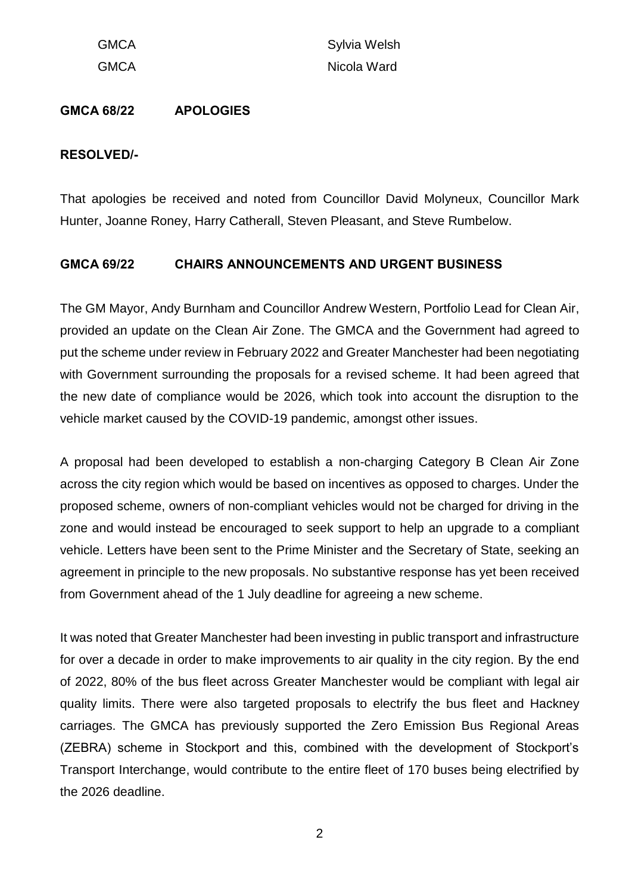GMCA Sylvia Welsh GMCA Nicola Ward

#### **GMCA 68/22 APOLOGIES**

#### **RESOLVED/-**

That apologies be received and noted from Councillor David Molyneux, Councillor Mark Hunter, Joanne Roney, Harry Catherall, Steven Pleasant, and Steve Rumbelow.

#### **GMCA 69/22 CHAIRS ANNOUNCEMENTS AND URGENT BUSINESS**

The GM Mayor, Andy Burnham and Councillor Andrew Western, Portfolio Lead for Clean Air, provided an update on the Clean Air Zone. The GMCA and the Government had agreed to put the scheme under review in February 2022 and Greater Manchester had been negotiating with Government surrounding the proposals for a revised scheme. It had been agreed that the new date of compliance would be 2026, which took into account the disruption to the vehicle market caused by the COVID-19 pandemic, amongst other issues.

A proposal had been developed to establish a non-charging Category B Clean Air Zone across the city region which would be based on incentives as opposed to charges. Under the proposed scheme, owners of non-compliant vehicles would not be charged for driving in the zone and would instead be encouraged to seek support to help an upgrade to a compliant vehicle. Letters have been sent to the Prime Minister and the Secretary of State, seeking an agreement in principle to the new proposals. No substantive response has yet been received from Government ahead of the 1 July deadline for agreeing a new scheme.

It was noted that Greater Manchester had been investing in public transport and infrastructure for over a decade in order to make improvements to air quality in the city region. By the end of 2022, 80% of the bus fleet across Greater Manchester would be compliant with legal air quality limits. There were also targeted proposals to electrify the bus fleet and Hackney carriages. The GMCA has previously supported the Zero Emission Bus Regional Areas (ZEBRA) scheme in Stockport and this, combined with the development of Stockport's Transport Interchange, would contribute to the entire fleet of 170 buses being electrified by the 2026 deadline.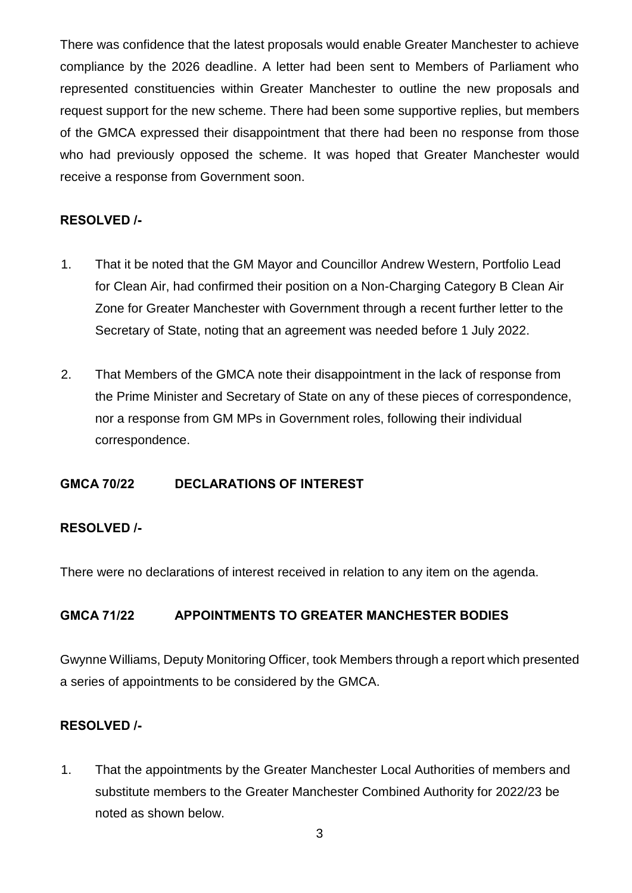There was confidence that the latest proposals would enable Greater Manchester to achieve compliance by the 2026 deadline. A letter had been sent to Members of Parliament who represented constituencies within Greater Manchester to outline the new proposals and request support for the new scheme. There had been some supportive replies, but members of the GMCA expressed their disappointment that there had been no response from those who had previously opposed the scheme. It was hoped that Greater Manchester would receive a response from Government soon.

## **RESOLVED /-**

- 1. That it be noted that the GM Mayor and Councillor Andrew Western, Portfolio Lead for Clean Air, had confirmed their position on a Non-Charging Category B Clean Air Zone for Greater Manchester with Government through a recent further letter to the Secretary of State, noting that an agreement was needed before 1 July 2022.
- 2. That Members of the GMCA note their disappointment in the lack of response from the Prime Minister and Secretary of State on any of these pieces of correspondence, nor a response from GM MPs in Government roles, following their individual correspondence.

### **GMCA 70/22 DECLARATIONS OF INTEREST**

### **RESOLVED /-**

There were no declarations of interest received in relation to any item on the agenda.

### **GMCA 71/22 APPOINTMENTS TO GREATER MANCHESTER BODIES**

Gwynne Williams, Deputy Monitoring Officer, took Members through a report which presented a series of appointments to be considered by the GMCA.

### **RESOLVED /-**

1. That the appointments by the Greater Manchester Local Authorities of members and substitute members to the Greater Manchester Combined Authority for 2022/23 be noted as shown below.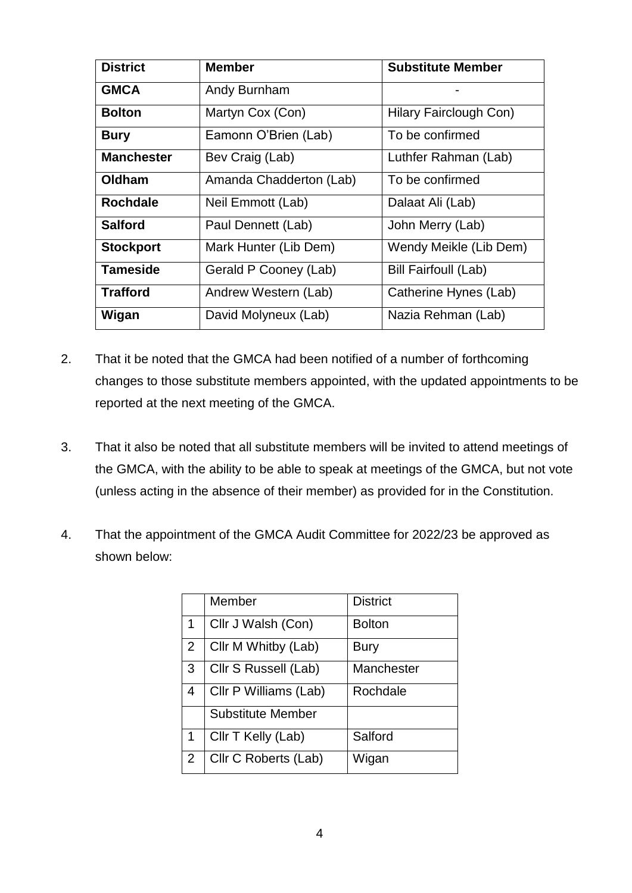| <b>District</b>   | <b>Member</b>           | <b>Substitute Member</b>    |  |
|-------------------|-------------------------|-----------------------------|--|
| <b>GMCA</b>       | Andy Burnham            |                             |  |
| <b>Bolton</b>     | Martyn Cox (Con)        | Hilary Fairclough Con)      |  |
| <b>Bury</b>       | Eamonn O'Brien (Lab)    | To be confirmed             |  |
| <b>Manchester</b> | Bev Craig (Lab)         | Luthfer Rahman (Lab)        |  |
| Oldham            | Amanda Chadderton (Lab) | To be confirmed             |  |
| <b>Rochdale</b>   | Neil Emmott (Lab)       | Dalaat Ali (Lab)            |  |
| <b>Salford</b>    | Paul Dennett (Lab)      | John Merry (Lab)            |  |
| <b>Stockport</b>  | Mark Hunter (Lib Dem)   | Wendy Meikle (Lib Dem)      |  |
| <b>Tameside</b>   | Gerald P Cooney (Lab)   | <b>Bill Fairfoull (Lab)</b> |  |
| <b>Trafford</b>   | Andrew Western (Lab)    | Catherine Hynes (Lab)       |  |
| Wigan             | David Molyneux (Lab)    | Nazia Rehman (Lab)          |  |

- 2. That it be noted that the GMCA had been notified of a number of forthcoming changes to those substitute members appointed, with the updated appointments to be reported at the next meeting of the GMCA.
- 3. That it also be noted that all substitute members will be invited to attend meetings of the GMCA, with the ability to be able to speak at meetings of the GMCA, but not vote (unless acting in the absence of their member) as provided for in the Constitution.
- 4. That the appointment of the GMCA Audit Committee for 2022/23 be approved as shown below:

|                | Member                   | <b>District</b> |
|----------------|--------------------------|-----------------|
| 1              | Cllr J Walsh (Con)       | <b>Bolton</b>   |
| 2              | Cllr M Whitby (Lab)      | <b>Bury</b>     |
| 3              | Cllr S Russell (Lab)     | Manchester      |
| $\overline{4}$ | Cllr P Williams (Lab)    | Rochdale        |
|                | <b>Substitute Member</b> |                 |
| 1              | Cllr T Kelly (Lab)       | Salford         |
| 2              | Cllr C Roberts (Lab)     | Wigan           |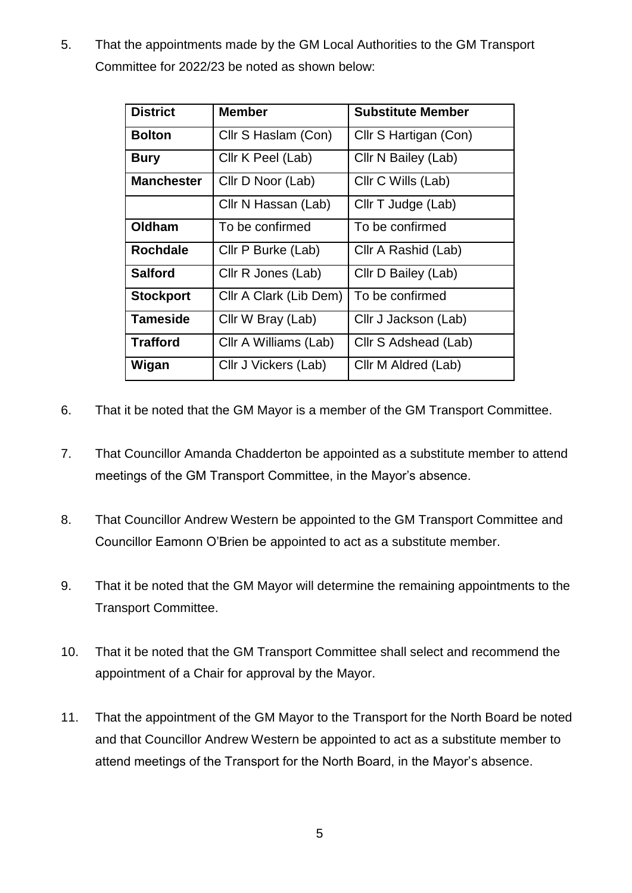5. That the appointments made by the GM Local Authorities to the GM Transport Committee for 2022/23 be noted as shown below:

| <b>District</b>   | <b>Member</b>          | <b>Substitute Member</b> |  |
|-------------------|------------------------|--------------------------|--|
| <b>Bolton</b>     | Cllr S Haslam (Con)    | Cllr S Hartigan (Con)    |  |
| <b>Bury</b>       | Cllr K Peel (Lab)      | Cllr N Bailey (Lab)      |  |
| <b>Manchester</b> | Cllr D Noor (Lab)      | Cllr C Wills (Lab)       |  |
|                   | Cllr N Hassan (Lab)    | Cllr T Judge (Lab)       |  |
| Oldham            | To be confirmed        | To be confirmed          |  |
| <b>Rochdale</b>   | Cllr P Burke (Lab)     | Cllr A Rashid (Lab)      |  |
| <b>Salford</b>    | Cllr R Jones (Lab)     | Cllr D Bailey (Lab)      |  |
| <b>Stockport</b>  | Cllr A Clark (Lib Dem) | To be confirmed          |  |
| <b>Tameside</b>   | Cllr W Bray (Lab)      | Cllr J Jackson (Lab)     |  |
| <b>Trafford</b>   | Cllr A Williams (Lab)  | Cllr S Adshead (Lab)     |  |
| Wigan             | Cllr J Vickers (Lab)   | Cllr M Aldred (Lab)      |  |

- 6. That it be noted that the GM Mayor is a member of the GM Transport Committee.
- 7. That Councillor Amanda Chadderton be appointed as a substitute member to attend meetings of the GM Transport Committee, in the Mayor's absence.
- 8. That Councillor Andrew Western be appointed to the GM Transport Committee and Councillor Eamonn O'Brien be appointed to act as a substitute member.
- 9. That it be noted that the GM Mayor will determine the remaining appointments to the Transport Committee.
- 10. That it be noted that the GM Transport Committee shall select and recommend the appointment of a Chair for approval by the Mayor.
- 11. That the appointment of the GM Mayor to the Transport for the North Board be noted and that Councillor Andrew Western be appointed to act as a substitute member to attend meetings of the Transport for the North Board, in the Mayor's absence.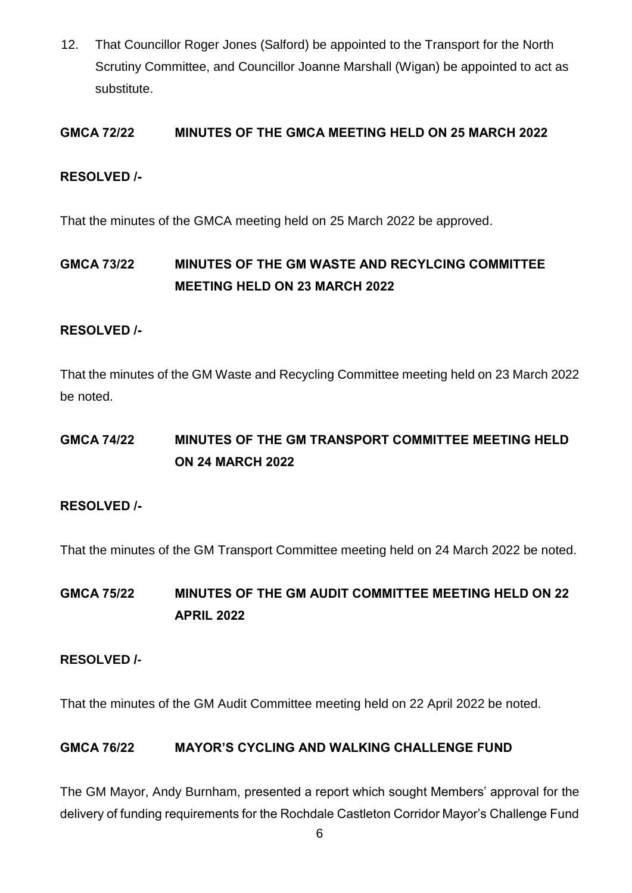12. That Councillor Roger Jones (Salford) be appointed to the Transport for the North Scrutiny Committee, and Councillor Joanne Marshall (Wigan) be appointed to act as substitute.

## **GMCA 72/22 MINUTES OF THE GMCA MEETING HELD ON 25 MARCH 2022**

### **RESOLVED /-**

That the minutes of the GMCA meeting held on 25 March 2022 be approved.

## **GMCA 73/22 MINUTES OF THE GM WASTE AND RECYLCING COMMITTEE MEETING HELD ON 23 MARCH 2022**

#### **RESOLVED /-**

That the minutes of the GM Waste and Recycling Committee meeting held on 23 March 2022 be noted.

## **GMCA 74/22 MINUTES OF THE GM TRANSPORT COMMITTEE MEETING HELD ON 24 MARCH 2022**

### **RESOLVED /-**

That the minutes of the GM Transport Committee meeting held on 24 March 2022 be noted.

**GMCA 75/22 MINUTES OF THE GM AUDIT COMMITTEE MEETING HELD ON 22 APRIL 2022**

#### **RESOLVED /-**

That the minutes of the GM Audit Committee meeting held on 22 April 2022 be noted.

#### **GMCA 76/22 MAYOR'S CYCLING AND WALKING CHALLENGE FUND**

The GM Mayor, Andy Burnham, presented a report which sought Members' approval for the delivery of funding requirements for the Rochdale Castleton Corridor Mayor's Challenge Fund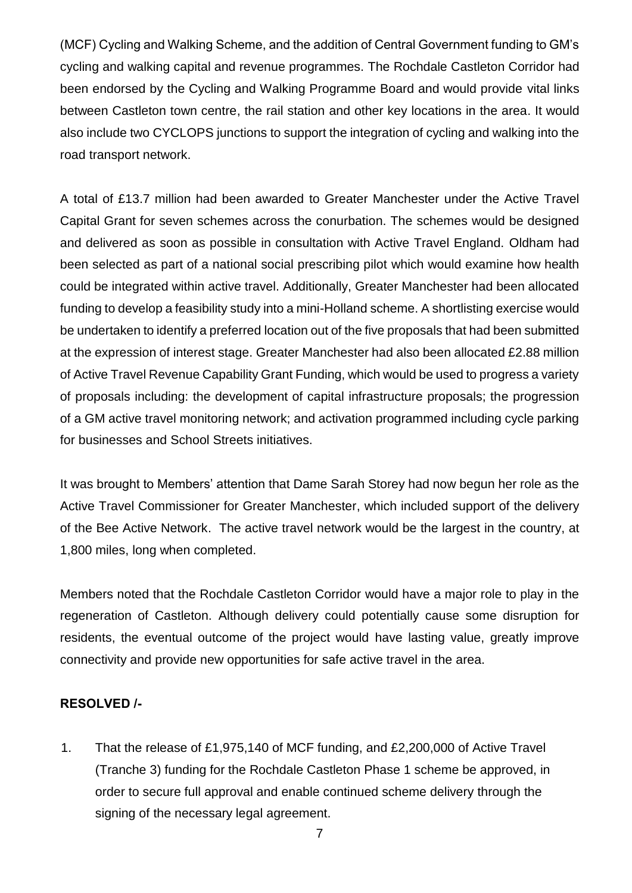(MCF) Cycling and Walking Scheme, and the addition of Central Government funding to GM's cycling and walking capital and revenue programmes. The Rochdale Castleton Corridor had been endorsed by the Cycling and Walking Programme Board and would provide vital links between Castleton town centre, the rail station and other key locations in the area. It would also include two CYCLOPS junctions to support the integration of cycling and walking into the road transport network.

A total of £13.7 million had been awarded to Greater Manchester under the Active Travel Capital Grant for seven schemes across the conurbation. The schemes would be designed and delivered as soon as possible in consultation with Active Travel England. Oldham had been selected as part of a national social prescribing pilot which would examine how health could be integrated within active travel. Additionally, Greater Manchester had been allocated funding to develop a feasibility study into a mini-Holland scheme. A shortlisting exercise would be undertaken to identify a preferred location out of the five proposals that had been submitted at the expression of interest stage. Greater Manchester had also been allocated £2.88 million of Active Travel Revenue Capability Grant Funding, which would be used to progress a variety of proposals including: the development of capital infrastructure proposals; the progression of a GM active travel monitoring network; and activation programmed including cycle parking for businesses and School Streets initiatives.

It was brought to Members' attention that Dame Sarah Storey had now begun her role as the Active Travel Commissioner for Greater Manchester, which included support of the delivery of the Bee Active Network. The active travel network would be the largest in the country, at 1,800 miles, long when completed.

Members noted that the Rochdale Castleton Corridor would have a major role to play in the regeneration of Castleton. Although delivery could potentially cause some disruption for residents, the eventual outcome of the project would have lasting value, greatly improve connectivity and provide new opportunities for safe active travel in the area.

### **RESOLVED /-**

1. That the release of £1,975,140 of MCF funding, and £2,200,000 of Active Travel (Tranche 3) funding for the Rochdale Castleton Phase 1 scheme be approved, in order to secure full approval and enable continued scheme delivery through the signing of the necessary legal agreement.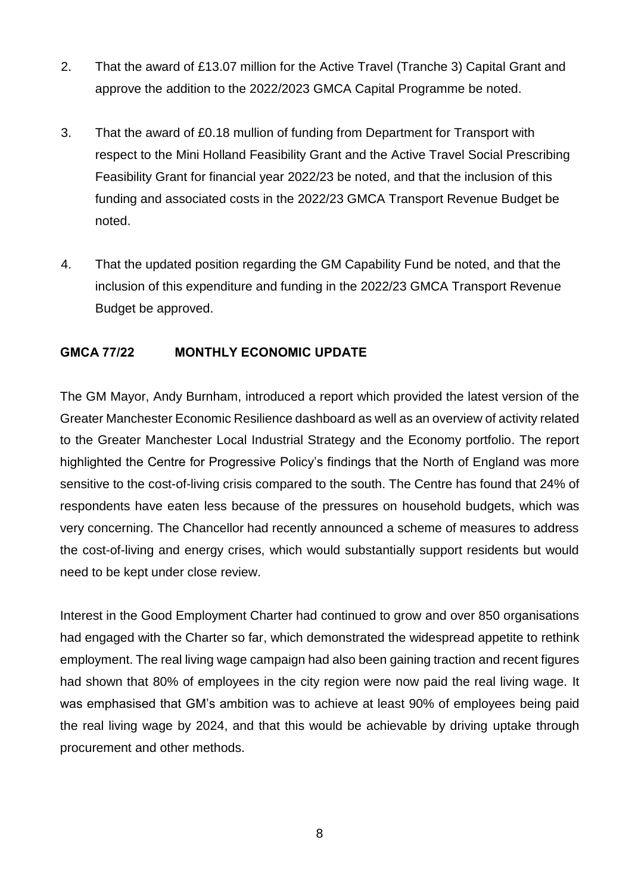- 2. That the award of £13.07 million for the Active Travel (Tranche 3) Capital Grant and approve the addition to the 2022/2023 GMCA Capital Programme be noted.
- 3. That the award of £0.18 mullion of funding from Department for Transport with respect to the Mini Holland Feasibility Grant and the Active Travel Social Prescribing Feasibility Grant for financial year 2022/23 be noted, and that the inclusion of this funding and associated costs in the 2022/23 GMCA Transport Revenue Budget be noted.
- 4. That the updated position regarding the GM Capability Fund be noted, and that the inclusion of this expenditure and funding in the 2022/23 GMCA Transport Revenue Budget be approved.

## **GMCA 77/22 MONTHLY ECONOMIC UPDATE**

The GM Mayor, Andy Burnham, introduced a report which provided the latest version of the Greater Manchester Economic Resilience dashboard as well as an overview of activity related to the Greater Manchester Local Industrial Strategy and the Economy portfolio. The report highlighted the Centre for Progressive Policy's findings that the North of England was more sensitive to the cost-of-living crisis compared to the south. The Centre has found that 24% of respondents have eaten less because of the pressures on household budgets, which was very concerning. The Chancellor had recently announced a scheme of measures to address the cost-of-living and energy crises, which would substantially support residents but would need to be kept under close review.

Interest in the Good Employment Charter had continued to grow and over 850 organisations had engaged with the Charter so far, which demonstrated the widespread appetite to rethink employment. The real living wage campaign had also been gaining traction and recent figures had shown that 80% of employees in the city region were now paid the real living wage. It was emphasised that GM's ambition was to achieve at least 90% of employees being paid the real living wage by 2024, and that this would be achievable by driving uptake through procurement and other methods.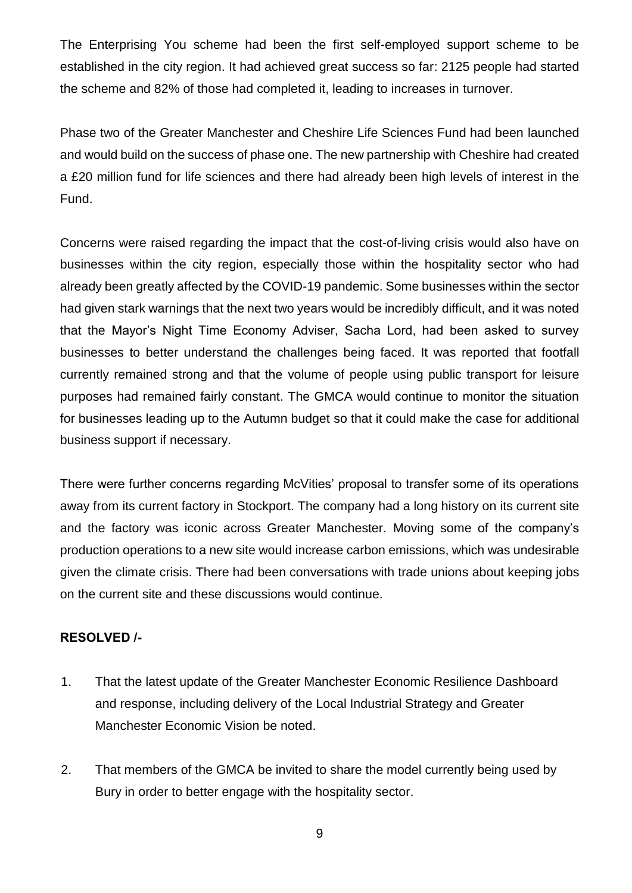The Enterprising You scheme had been the first self-employed support scheme to be established in the city region. It had achieved great success so far: 2125 people had started the scheme and 82% of those had completed it, leading to increases in turnover.

Phase two of the Greater Manchester and Cheshire Life Sciences Fund had been launched and would build on the success of phase one. The new partnership with Cheshire had created a £20 million fund for life sciences and there had already been high levels of interest in the Fund.

Concerns were raised regarding the impact that the cost-of-living crisis would also have on businesses within the city region, especially those within the hospitality sector who had already been greatly affected by the COVID-19 pandemic. Some businesses within the sector had given stark warnings that the next two years would be incredibly difficult, and it was noted that the Mayor's Night Time Economy Adviser, Sacha Lord, had been asked to survey businesses to better understand the challenges being faced. It was reported that footfall currently remained strong and that the volume of people using public transport for leisure purposes had remained fairly constant. The GMCA would continue to monitor the situation for businesses leading up to the Autumn budget so that it could make the case for additional business support if necessary.

There were further concerns regarding McVities' proposal to transfer some of its operations away from its current factory in Stockport. The company had a long history on its current site and the factory was iconic across Greater Manchester. Moving some of the company's production operations to a new site would increase carbon emissions, which was undesirable given the climate crisis. There had been conversations with trade unions about keeping jobs on the current site and these discussions would continue.

### **RESOLVED /-**

- 1. That the latest update of the Greater Manchester Economic Resilience Dashboard and response, including delivery of the Local Industrial Strategy and Greater Manchester Economic Vision be noted.
- 2. That members of the GMCA be invited to share the model currently being used by Bury in order to better engage with the hospitality sector.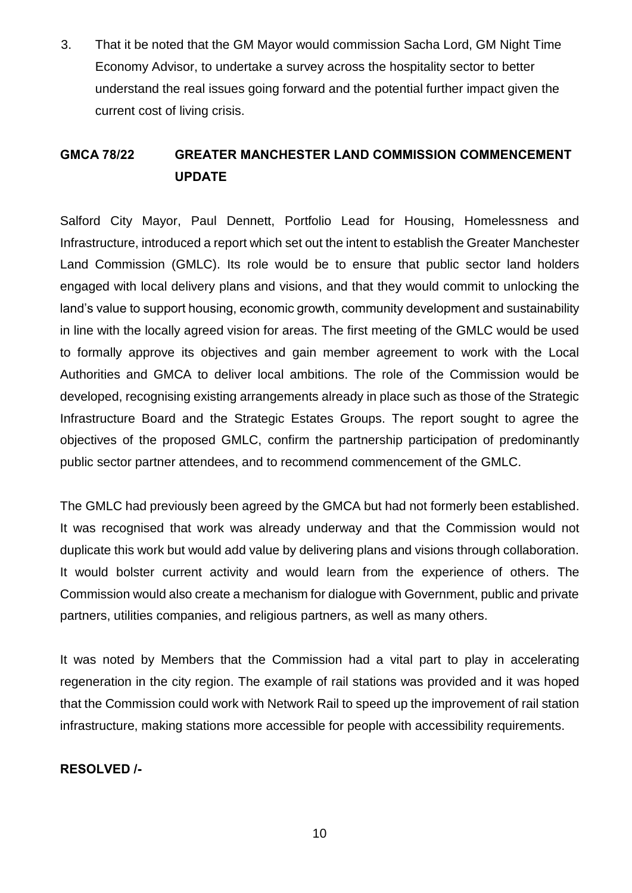3. That it be noted that the GM Mayor would commission Sacha Lord, GM Night Time Economy Advisor, to undertake a survey across the hospitality sector to better understand the real issues going forward and the potential further impact given the current cost of living crisis.

## **GMCA 78/22 GREATER MANCHESTER LAND COMMISSION COMMENCEMENT UPDATE**

Salford City Mayor, Paul Dennett, Portfolio Lead for Housing, Homelessness and Infrastructure, introduced a report which set out the intent to establish the Greater Manchester Land Commission (GMLC). Its role would be to ensure that public sector land holders engaged with local delivery plans and visions, and that they would commit to unlocking the land's value to support housing, economic growth, community development and sustainability in line with the locally agreed vision for areas. The first meeting of the GMLC would be used to formally approve its objectives and gain member agreement to work with the Local Authorities and GMCA to deliver local ambitions. The role of the Commission would be developed, recognising existing arrangements already in place such as those of the Strategic Infrastructure Board and the Strategic Estates Groups. The report sought to agree the objectives of the proposed GMLC, confirm the partnership participation of predominantly public sector partner attendees, and to recommend commencement of the GMLC.

The GMLC had previously been agreed by the GMCA but had not formerly been established. It was recognised that work was already underway and that the Commission would not duplicate this work but would add value by delivering plans and visions through collaboration. It would bolster current activity and would learn from the experience of others. The Commission would also create a mechanism for dialogue with Government, public and private partners, utilities companies, and religious partners, as well as many others.

It was noted by Members that the Commission had a vital part to play in accelerating regeneration in the city region. The example of rail stations was provided and it was hoped that the Commission could work with Network Rail to speed up the improvement of rail station infrastructure, making stations more accessible for people with accessibility requirements.

### **RESOLVED /-**

10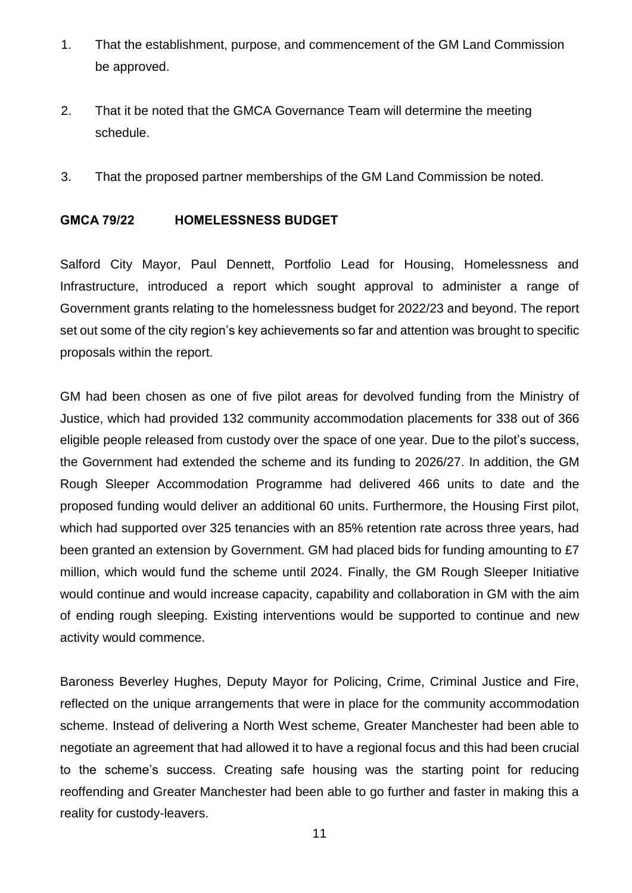- 1. That the establishment, purpose, and commencement of the GM Land Commission be approved.
- 2. That it be noted that the GMCA Governance Team will determine the meeting schedule.
- 3. That the proposed partner memberships of the GM Land Commission be noted.

#### **GMCA 79/22 HOMELESSNESS BUDGET**

Salford City Mayor, Paul Dennett, Portfolio Lead for Housing, Homelessness and Infrastructure, introduced a report which sought approval to administer a range of Government grants relating to the homelessness budget for 2022/23 and beyond. The report set out some of the city region's key achievements so far and attention was brought to specific proposals within the report.

GM had been chosen as one of five pilot areas for devolved funding from the Ministry of Justice, which had provided 132 community accommodation placements for 338 out of 366 eligible people released from custody over the space of one year. Due to the pilot's success, the Government had extended the scheme and its funding to 2026/27. In addition, the GM Rough Sleeper Accommodation Programme had delivered 466 units to date and the proposed funding would deliver an additional 60 units. Furthermore, the Housing First pilot, which had supported over 325 tenancies with an 85% retention rate across three years, had been granted an extension by Government. GM had placed bids for funding amounting to £7 million, which would fund the scheme until 2024. Finally, the GM Rough Sleeper Initiative would continue and would increase capacity, capability and collaboration in GM with the aim of ending rough sleeping. Existing interventions would be supported to continue and new activity would commence.

Baroness Beverley Hughes, Deputy Mayor for Policing, Crime, Criminal Justice and Fire, reflected on the unique arrangements that were in place for the community accommodation scheme. Instead of delivering a North West scheme, Greater Manchester had been able to negotiate an agreement that had allowed it to have a regional focus and this had been crucial to the scheme's success. Creating safe housing was the starting point for reducing reoffending and Greater Manchester had been able to go further and faster in making this a reality for custody-leavers.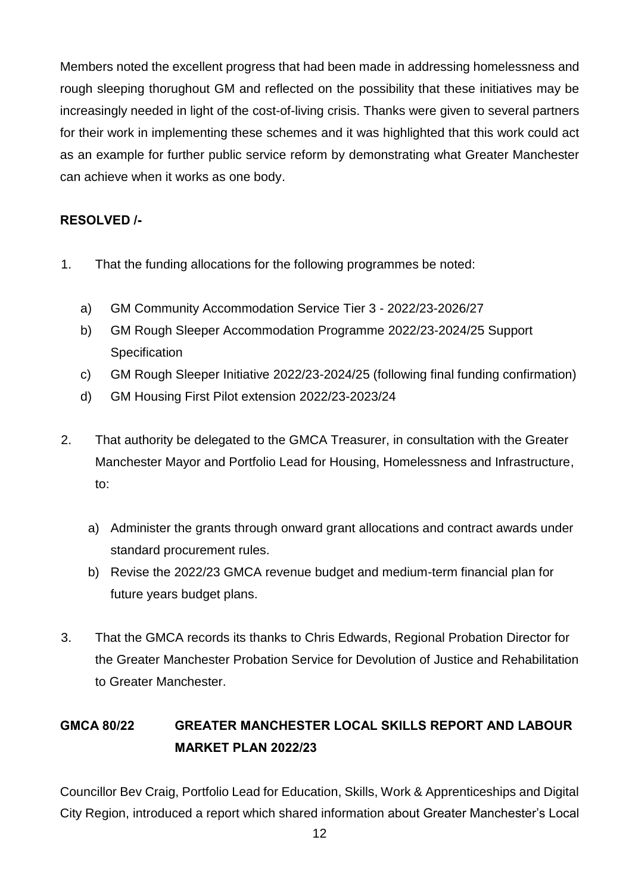Members noted the excellent progress that had been made in addressing homelessness and rough sleeping thorughout GM and reflected on the possibility that these initiatives may be increasingly needed in light of the cost-of-living crisis. Thanks were given to several partners for their work in implementing these schemes and it was highlighted that this work could act as an example for further public service reform by demonstrating what Greater Manchester can achieve when it works as one body.

## **RESOLVED /-**

- 1. That the funding allocations for the following programmes be noted:
	- a) GM Community Accommodation Service Tier 3 2022/23-2026/27
	- b) GM Rough Sleeper Accommodation Programme 2022/23-2024/25 Support **Specification**
	- c) GM Rough Sleeper Initiative 2022/23-2024/25 (following final funding confirmation)
	- d) GM Housing First Pilot extension 2022/23-2023/24
- 2. That authority be delegated to the GMCA Treasurer, in consultation with the Greater Manchester Mayor and Portfolio Lead for Housing, Homelessness and Infrastructure, to:
	- a) Administer the grants through onward grant allocations and contract awards under standard procurement rules.
	- b) Revise the 2022/23 GMCA revenue budget and medium-term financial plan for future years budget plans.
- 3. That the GMCA records its thanks to Chris Edwards, Regional Probation Director for the Greater Manchester Probation Service for Devolution of Justice and Rehabilitation to Greater Manchester.

# **GMCA 80/22 GREATER MANCHESTER LOCAL SKILLS REPORT AND LABOUR MARKET PLAN 2022/23**

Councillor Bev Craig, Portfolio Lead for Education, Skills, Work & Apprenticeships and Digital City Region, introduced a report which shared information about Greater Manchester's Local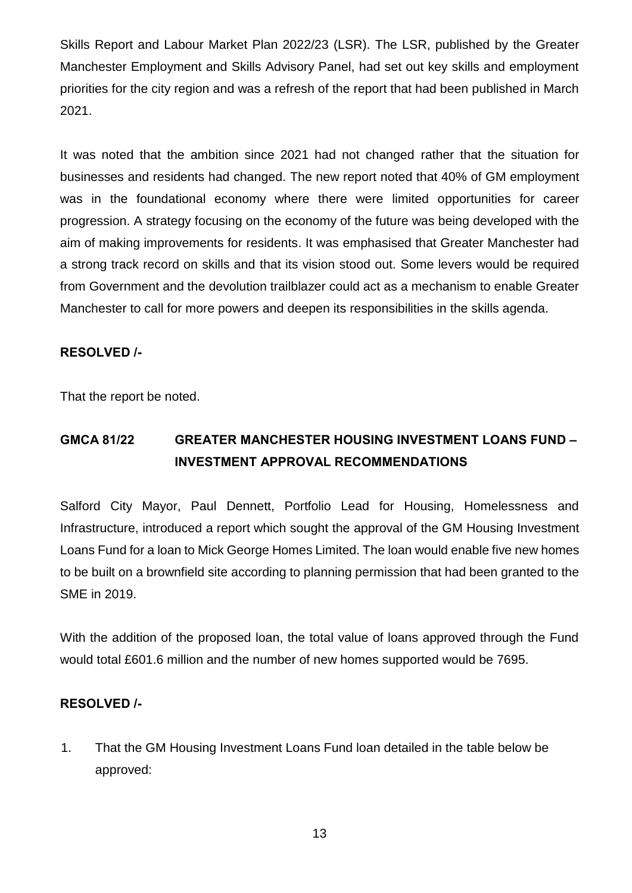Skills Report and Labour Market Plan 2022/23 (LSR). The LSR, published by the Greater Manchester Employment and Skills Advisory Panel, had set out key skills and employment priorities for the city region and was a refresh of the report that had been published in March 2021.

It was noted that the ambition since 2021 had not changed rather that the situation for businesses and residents had changed. The new report noted that 40% of GM employment was in the foundational economy where there were limited opportunities for career progression. A strategy focusing on the economy of the future was being developed with the aim of making improvements for residents. It was emphasised that Greater Manchester had a strong track record on skills and that its vision stood out. Some levers would be required from Government and the devolution trailblazer could act as a mechanism to enable Greater Manchester to call for more powers and deepen its responsibilities in the skills agenda.

#### **RESOLVED /-**

That the report be noted.

# **GMCA 81/22 GREATER MANCHESTER HOUSING INVESTMENT LOANS FUND – INVESTMENT APPROVAL RECOMMENDATIONS**

Salford City Mayor, Paul Dennett, Portfolio Lead for Housing, Homelessness and Infrastructure, introduced a report which sought the approval of the GM Housing Investment Loans Fund for a loan to Mick George Homes Limited. The loan would enable five new homes to be built on a brownfield site according to planning permission that had been granted to the SME in 2019.

With the addition of the proposed loan, the total value of loans approved through the Fund would total £601.6 million and the number of new homes supported would be 7695.

### **RESOLVED /-**

1. That the GM Housing Investment Loans Fund loan detailed in the table below be approved: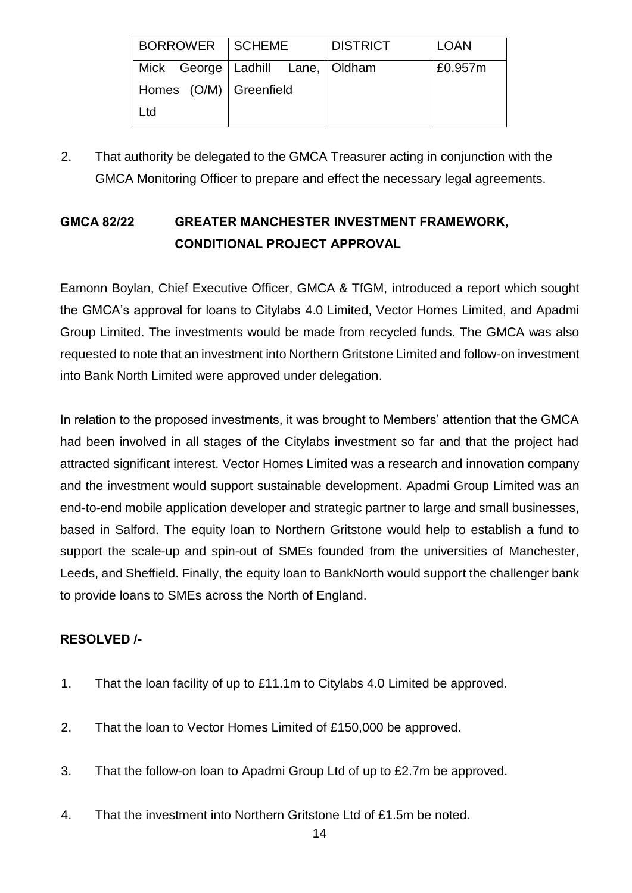| BORROWER   SCHEME      |                                      | <b>DISTRICT</b> | <b>LOAN</b> |
|------------------------|--------------------------------------|-----------------|-------------|
|                        | Mick George   Ladhill Lane,   Oldham |                 | £0.957m     |
| Homes (O/M) Greenfield |                                      |                 |             |
| Ltd                    |                                      |                 |             |

2. That authority be delegated to the GMCA Treasurer acting in conjunction with the GMCA Monitoring Officer to prepare and effect the necessary legal agreements.

## **GMCA 82/22 GREATER MANCHESTER INVESTMENT FRAMEWORK, CONDITIONAL PROJECT APPROVAL**

Eamonn Boylan, Chief Executive Officer, GMCA & TfGM, introduced a report which sought the GMCA's approval for loans to Citylabs 4.0 Limited, Vector Homes Limited, and Apadmi Group Limited. The investments would be made from recycled funds. The GMCA was also requested to note that an investment into Northern Gritstone Limited and follow-on investment into Bank North Limited were approved under delegation.

In relation to the proposed investments, it was brought to Members' attention that the GMCA had been involved in all stages of the Citylabs investment so far and that the project had attracted significant interest. Vector Homes Limited was a research and innovation company and the investment would support sustainable development. Apadmi Group Limited was an end-to-end mobile application developer and strategic partner to large and small businesses, based in Salford. The equity loan to Northern Gritstone would help to establish a fund to support the scale-up and spin-out of SMEs founded from the universities of Manchester, Leeds, and Sheffield. Finally, the equity loan to BankNorth would support the challenger bank to provide loans to SMEs across the North of England.

## **RESOLVED /-**

- 1. That the loan facility of up to £11.1m to Citylabs 4.0 Limited be approved.
- 2. That the loan to Vector Homes Limited of £150,000 be approved.
- 3. That the follow-on loan to Apadmi Group Ltd of up to £2.7m be approved.
- 4. That the investment into Northern Gritstone Ltd of £1.5m be noted.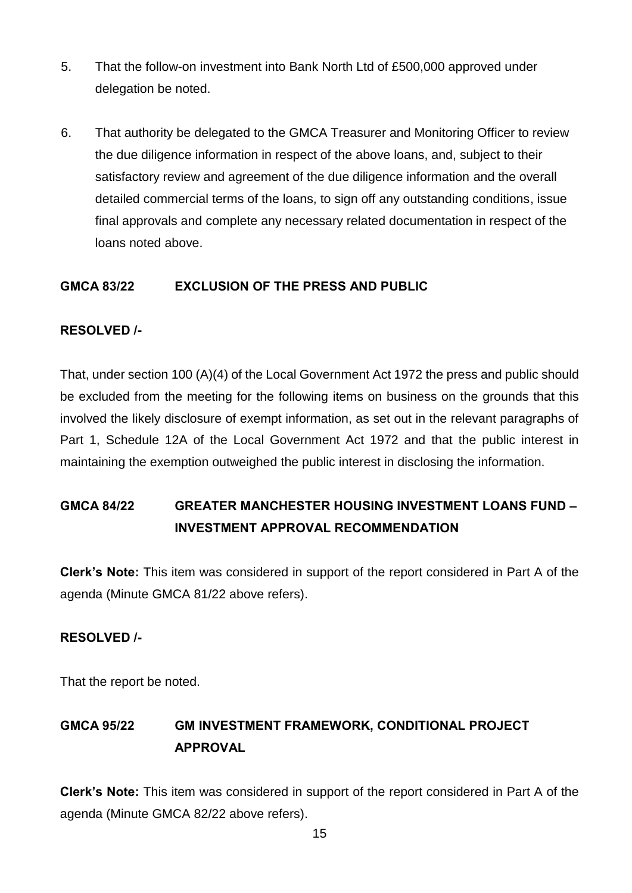- 5. That the follow-on investment into Bank North Ltd of £500,000 approved under delegation be noted.
- 6. That authority be delegated to the GMCA Treasurer and Monitoring Officer to review the due diligence information in respect of the above loans, and, subject to their satisfactory review and agreement of the due diligence information and the overall detailed commercial terms of the loans, to sign off any outstanding conditions, issue final approvals and complete any necessary related documentation in respect of the loans noted above.

#### **GMCA 83/22 EXCLUSION OF THE PRESS AND PUBLIC**

#### **RESOLVED /-**

That, under section 100 (A)(4) of the Local Government Act 1972 the press and public should be excluded from the meeting for the following items on business on the grounds that this involved the likely disclosure of exempt information, as set out in the relevant paragraphs of Part 1, Schedule 12A of the Local Government Act 1972 and that the public interest in maintaining the exemption outweighed the public interest in disclosing the information.

## **GMCA 84/22 GREATER MANCHESTER HOUSING INVESTMENT LOANS FUND – INVESTMENT APPROVAL RECOMMENDATION**

**Clerk's Note:** This item was considered in support of the report considered in Part A of the agenda (Minute GMCA 81/22 above refers).

#### **RESOLVED /-**

That the report be noted.

# **GMCA 95/22 GM INVESTMENT FRAMEWORK, CONDITIONAL PROJECT APPROVAL**

**Clerk's Note:** This item was considered in support of the report considered in Part A of the agenda (Minute GMCA 82/22 above refers).